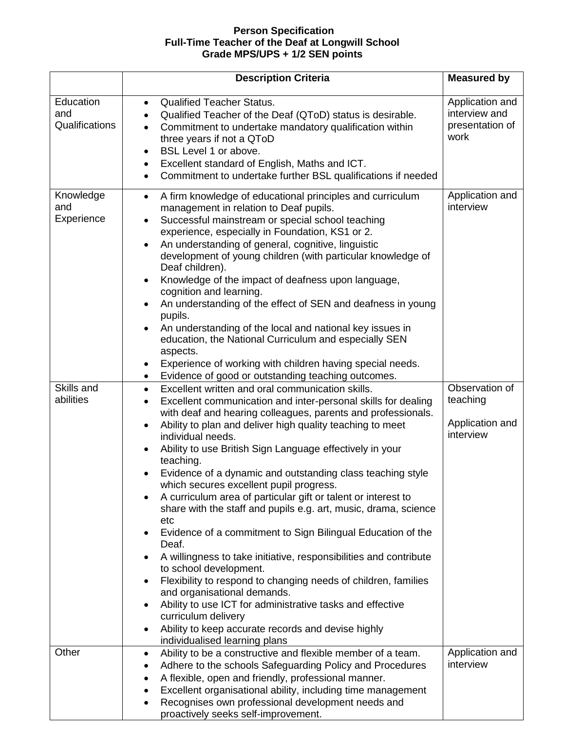## **Person Specification Full-Time Teacher of the Deaf at Longwill School Grade MPS/UPS + 1/2 SEN points**

|                                                           | <b>Description Criteria</b>                                                                                                                                                                                                                                                                                                                                                                                                                                                                                                                                                                                                                                                                                                                                                                                                                                                                                                                                                                                                                                                                                            | <b>Measured by</b>                                                                         |
|-----------------------------------------------------------|------------------------------------------------------------------------------------------------------------------------------------------------------------------------------------------------------------------------------------------------------------------------------------------------------------------------------------------------------------------------------------------------------------------------------------------------------------------------------------------------------------------------------------------------------------------------------------------------------------------------------------------------------------------------------------------------------------------------------------------------------------------------------------------------------------------------------------------------------------------------------------------------------------------------------------------------------------------------------------------------------------------------------------------------------------------------------------------------------------------------|--------------------------------------------------------------------------------------------|
| Education<br>and<br>Qualifications                        | <b>Qualified Teacher Status.</b><br>$\bullet$<br>Qualified Teacher of the Deaf (QToD) status is desirable.<br>Commitment to undertake mandatory qualification within<br>$\bullet$<br>three years if not a QToD<br>BSL Level 1 or above.<br>٠<br>Excellent standard of English, Maths and ICT.<br>Commitment to undertake further BSL qualifications if needed                                                                                                                                                                                                                                                                                                                                                                                                                                                                                                                                                                                                                                                                                                                                                          | Application and<br>interview and<br>presentation of<br>work                                |
| Knowledge<br>and<br>Experience<br>Skills and<br>abilities | A firm knowledge of educational principles and curriculum<br>$\bullet$<br>management in relation to Deaf pupils.<br>Successful mainstream or special school teaching<br>experience, especially in Foundation, KS1 or 2.<br>An understanding of general, cognitive, linguistic<br>$\bullet$<br>development of young children (with particular knowledge of<br>Deaf children).<br>Knowledge of the impact of deafness upon language,<br>cognition and learning.<br>An understanding of the effect of SEN and deafness in young<br>$\bullet$<br>pupils.<br>An understanding of the local and national key issues in<br>education, the National Curriculum and especially SEN<br>aspects.<br>Experience of working with children having special needs.<br>Evidence of good or outstanding teaching outcomes.<br>$\bullet$<br>Excellent written and oral communication skills.<br>$\bullet$<br>Excellent communication and inter-personal skills for dealing<br>with deaf and hearing colleagues, parents and professionals.<br>Ability to plan and deliver high quality teaching to meet<br>$\bullet$<br>individual needs. | Application and<br>interview<br>Observation of<br>teaching<br>Application and<br>interview |
|                                                           | Ability to use British Sign Language effectively in your<br>$\bullet$<br>teaching.<br>Evidence of a dynamic and outstanding class teaching style<br>which secures excellent pupil progress.<br>A curriculum area of particular gift or talent or interest to<br>share with the staff and pupils e.g. art, music, drama, science<br>etc<br>Evidence of a commitment to Sign Bilingual Education of the<br>Deaf.<br>A willingness to take initiative, responsibilities and contribute<br>to school development.<br>Flexibility to respond to changing needs of children, families<br>and organisational demands.<br>Ability to use ICT for administrative tasks and effective<br>curriculum delivery<br>Ability to keep accurate records and devise highly<br>٠<br>individualised learning plans                                                                                                                                                                                                                                                                                                                         |                                                                                            |
| Other                                                     | Ability to be a constructive and flexible member of a team.<br>٠<br>Adhere to the schools Safeguarding Policy and Procedures<br>A flexible, open and friendly, professional manner.<br>Excellent organisational ability, including time management<br>Recognises own professional development needs and<br>proactively seeks self-improvement.                                                                                                                                                                                                                                                                                                                                                                                                                                                                                                                                                                                                                                                                                                                                                                         | Application and<br>interview                                                               |